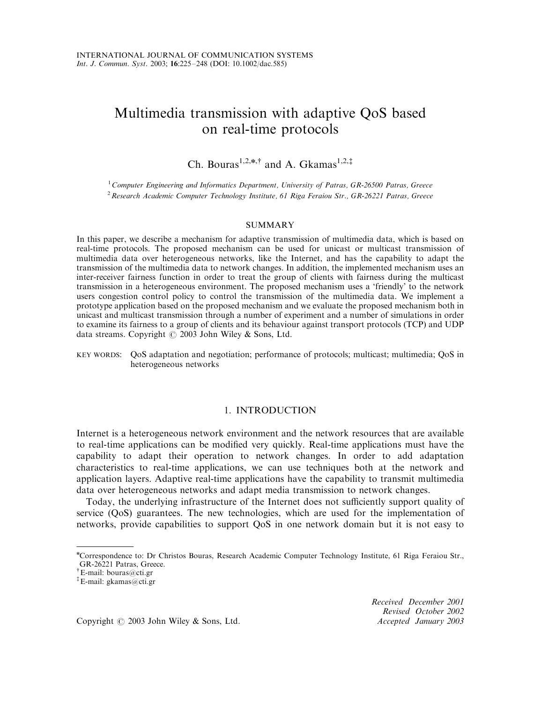# Multimedia transmission with adaptive QoS based on real-time protocols

Ch. Bouras<sup>1,2, $\ast$ , $\dagger$  and A. Gkamas<sup>1,2, $\ddagger$ </sup></sup>

 $1$ Computer Engineering and Informatics Department, University of Patras, GR-26500 Patras, Greece <sup>2</sup> Research Academic Computer Technology Institute, 61 Riga Feraiou Str., GR-26221 Patras, Greece

#### SUMMARY

In this paper, we describe a mechanism for adaptive transmission of multimedia data, which is based on real-time protocols. The proposed mechanism can be used for unicast or multicast transmission of multimedia data over heterogeneous networks, like the Internet, and has the capability to adapt the transmission of the multimedia data to network changes. In addition, the implemented mechanism uses an inter-receiver fairness function in order to treat the group of clients with fairness during the multicast transmission in a heterogeneous environment. The proposed mechanism uses a 'friendly' to the network users congestion control policy to control the transmission of the multimedia data. We implement a prototype application based on the proposed mechanism and we evaluate the proposed mechanism both in unicast and multicast transmission through a number of experiment and a number of simulations in order to examine its fairness to a group of clients and its behaviour against transport protocols (TCP) and UDP data streams. Copyright  $\odot$  2003 John Wiley & Sons, Ltd.

KEY WORDS: QoS adaptation and negotiation; performance of protocols; multicast; multimedia; QoS in heterogeneous networks

## 1. INTRODUCTION

Internet is a heterogeneous network environment and the network resources that are available to real-time applications can be modified very quickly. Real-time applications must have the capability to adapt their operation to network changes. In order to add adaptation characteristics to real-time applications, we can use techniques both at the network and application layers. Adaptive real-time applications have the capability to transmit multimedia data over heterogeneous networks and adapt media transmission to network changes.

Today, the underlying infrastructure of the Internet does not sufficiently support quality of service (QoS) guarantees. The new technologies, which are used for the implementation of networks, provide capabilities to support QoS in one network domain but it is not easy to

<sup>†</sup>E-mail: bouras@cti.gr

Received December 2001 Revised October 2002

Copyright © 2003 John Wiley & Sons, Ltd. Accepted January 2003

n Correspondence to: Dr Christos Bouras, Research Academic Computer Technology Institute, 61 Riga Feraiou Str., GR-26221 Patras, Greece.

z E-mail: gkamas@cti.gr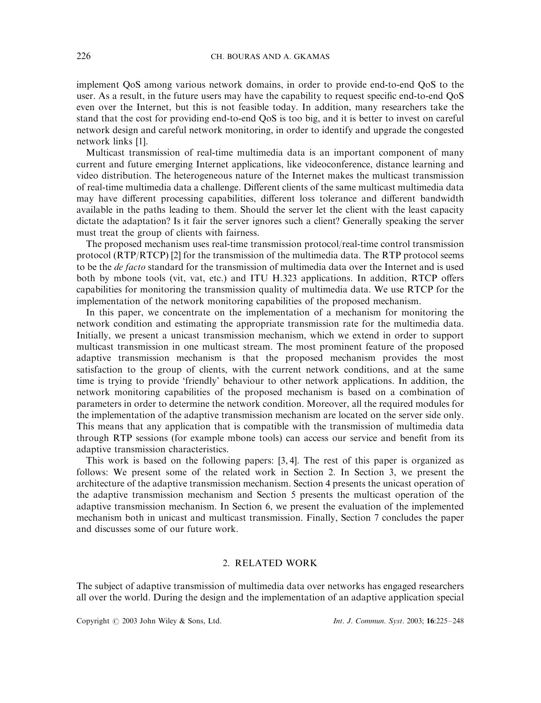implement QoS among various network domains, in order to provide end-to-end QoS to the user. As a result, in the future users may have the capability to request specific end-to-end QoS even over the Internet, but this is not feasible today. In addition, many researchers take the stand that the cost for providing end-to-end QoS is too big, and it is better to invest on careful network design and careful network monitoring, in order to identify and upgrade the congested network links [1].

Multicast transmission of real-time multimedia data is an important component of many current and future emerging Internet applications, like videoconference, distance learning and video distribution. The heterogeneous nature of the Internet makes the multicast transmission of real-time multimedia data a challenge. Different clients of the same multicast multimedia data may have different processing capabilities, different loss tolerance and different bandwidth available in the paths leading to them. Should the server let the client with the least capacity dictate the adaptation? Is it fair the server ignores such a client? Generally speaking the server must treat the group of clients with fairness.

The proposed mechanism uses real-time transmission protocol/real-time control transmission protocol (RTP/RTCP) [2] for the transmission of the multimedia data. The RTP protocol seems to be the de facto standard for the transmission of multimedia data over the Internet and is used both by mbone tools (vit, vat, etc.) and ITU H.323 applications. In addition, RTCP offers capabilities for monitoring the transmission quality of multimedia data. We use RTCP for the implementation of the network monitoring capabilities of the proposed mechanism.

In this paper, we concentrate on the implementation of a mechanism for monitoring the network condition and estimating the appropriate transmission rate for the multimedia data. Initially, we present a unicast transmission mechanism, which we extend in order to support multicast transmission in one multicast stream. The most prominent feature of the proposed adaptive transmission mechanism is that the proposed mechanism provides the most satisfaction to the group of clients, with the current network conditions, and at the same time is trying to provide 'friendly' behaviour to other network applications. In addition, the network monitoring capabilities of the proposed mechanism is based on a combination of parameters in order to determine the network condition. Moreover, all the required modules for the implementation of the adaptive transmission mechanism are located on the server side only. This means that any application that is compatible with the transmission of multimedia data through RTP sessions (for example mbone tools) can access our service and benefit from its adaptive transmission characteristics.

This work is based on the following papers: [3, 4]. The rest of this paper is organized as follows: We present some of the related work in Section 2. In Section 3, we present the architecture of the adaptive transmission mechanism. Section 4 presents the unicast operation of the adaptive transmission mechanism and Section 5 presents the multicast operation of the adaptive transmission mechanism. In Section 6, we present the evaluation of the implemented mechanism both in unicast and multicast transmission. Finally, Section 7 concludes the paper and discusses some of our future work.

# 2. RELATED WORK

The subject of adaptive transmission of multimedia data over networks has engaged researchers all over the world. During the design and the implementation of an adaptive application special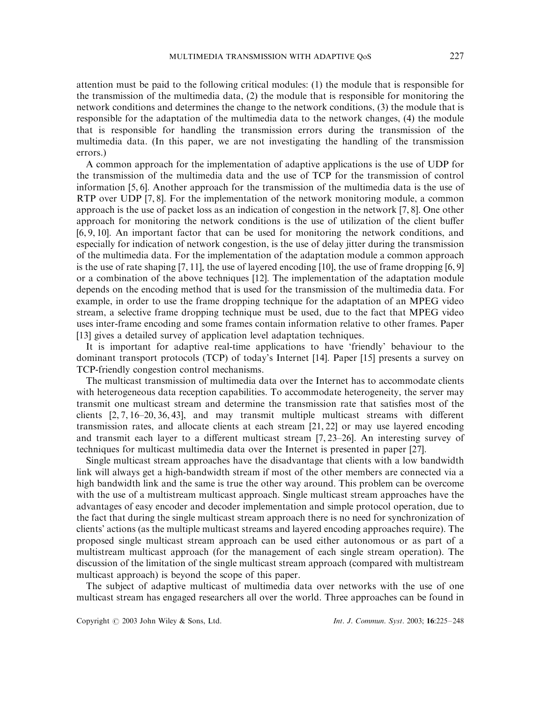attention must be paid to the following critical modules: (1) the module that is responsible for the transmission of the multimedia data, (2) the module that is responsible for monitoring the network conditions and determines the change to the network conditions, (3) the module that is responsible for the adaptation of the multimedia data to the network changes, (4) the module that is responsible for handling the transmission errors during the transmission of the multimedia data. (In this paper, we are not investigating the handling of the transmission errors.)

A common approach for the implementation of adaptive applications is the use of UDP for the transmission of the multimedia data and the use of TCP for the transmission of control information [5, 6]. Another approach for the transmission of the multimedia data is the use of RTP over UDP [7, 8]. For the implementation of the network monitoring module, a common approach is the use of packet loss as an indication of congestion in the network [7, 8]. One other approach for monitoring the network conditions is the use of utilization of the client buffer [6, 9, 10]. An important factor that can be used for monitoring the network conditions, and especially for indication of network congestion, is the use of delay jitter during the transmission of the multimedia data. For the implementation of the adaptation module a common approach is the use of rate shaping [7, 11], the use of layered encoding [10], the use of frame dropping [6, 9] or a combination of the above techniques [12]. The implementation of the adaptation module depends on the encoding method that is used for the transmission of the multimedia data. For example, in order to use the frame dropping technique for the adaptation of an MPEG video stream, a selective frame dropping technique must be used, due to the fact that MPEG video uses inter-frame encoding and some frames contain information relative to other frames. Paper [13] gives a detailed survey of application level adaptation techniques.

It is important for adaptive real-time applications to have 'friendly' behaviour to the dominant transport protocols (TCP) of today's Internet [14]. Paper [15] presents a survey on TCP-friendly congestion control mechanisms.

The multicast transmission of multimedia data over the Internet has to accommodate clients with heterogeneous data reception capabilities. To accommodate heterogeneity, the server may transmit one multicast stream and determine the transmission rate that satisfies most of the clients [2, 7, 16–20, 36, 43], and may transmit multiple multicast streams with different transmission rates, and allocate clients at each stream [21, 22] or may use layered encoding and transmit each layer to a different multicast stream [7, 23–26]. An interesting survey of techniques for multicast multimedia data over the Internet is presented in paper [27].

Single multicast stream approaches have the disadvantage that clients with a low bandwidth link will always get a high-bandwidth stream if most of the other members are connected via a high bandwidth link and the same is true the other way around. This problem can be overcome with the use of a multistream multicast approach. Single multicast stream approaches have the advantages of easy encoder and decoder implementation and simple protocol operation, due to the fact that during the single multicast stream approach there is no need for synchronization of clients' actions (as the multiple multicast streams and layered encoding approaches require). The proposed single multicast stream approach can be used either autonomous or as part of a multistream multicast approach (for the management of each single stream operation). The discussion of the limitation of the single multicast stream approach (compared with multistream multicast approach) is beyond the scope of this paper.

The subject of adaptive multicast of multimedia data over networks with the use of one multicast stream has engaged researchers all over the world. Three approaches can be found in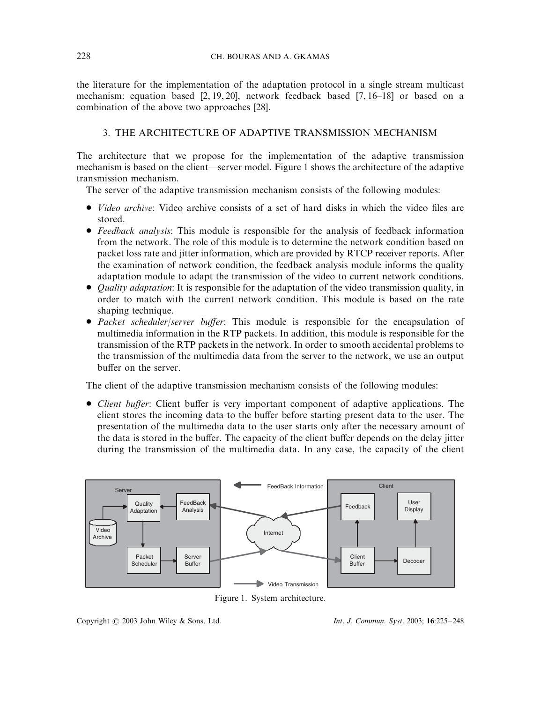the literature for the implementation of the adaptation protocol in a single stream multicast mechanism: equation based [2, 19, 20], network feedback based [7, 16–18] or based on a combination of the above two approaches [28].

## 3. THE ARCHITECTURE OF ADAPTIVE TRANSMISSION MECHANISM

The architecture that we propose for the implementation of the adaptive transmission mechanism is based on the client—server model. Figure 1 shows the architecture of the adaptive transmission mechanism.

The server of the adaptive transmission mechanism consists of the following modules:

- $\bullet$  *Video archive:* Video archive consists of a set of hard disks in which the video files are stored.
- Feedback analysis: This module is responsible for the analysis of feedback information from the network. The role of this module is to determine the network condition based on packet loss rate and jitter information, which are provided by RTCP receiver reports. After the examination of network condition, the feedback analysis module informs the quality adaptation module to adapt the transmission of the video to current network conditions.
- *Quality adaptation*: It is responsible for the adaptation of the video transmission quality, in order to match with the current network condition. This module is based on the rate shaping technique.
- Packet scheduler/server buffer: This module is responsible for the encapsulation of multimedia information in the RTP packets. In addition, this module is responsible for the transmission of the RTP packets in the network. In order to smooth accidental problems to the transmission of the multimedia data from the server to the network, we use an output buffer on the server.

The client of the adaptive transmission mechanism consists of the following modules:

• *Client buffer*: Client buffer is very important component of adaptive applications. The client stores the incoming data to the buffer before starting present data to the user. The presentation of the multimedia data to the user starts only after the necessary amount of the data is stored in the buffer. The capacity of the client buffer depends on the delay jitter during the transmission of the multimedia data. In any case, the capacity of the client



Figure 1. System architecture.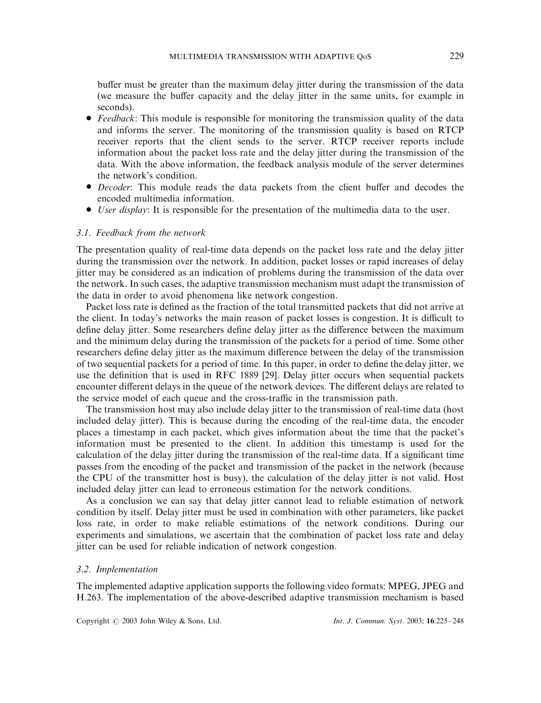buffer must be greater than the maximum delay jitter during the transmission of the data (we measure the buffer capacity and the delay jitter in the same units, for example in seconds).

- $\bullet$  Feedback: This module is responsible for monitoring the transmission quality of the data and informs the server. The monitoring of the transmission quality is based on RTCP receiver reports that the client sends to the server. RTCP receiver reports include information about the packet loss rate and the delay jitter during the transmission of the data. With the above information, the feedback analysis module of the server determines the network's condition.
- Decoder: This module reads the data packets from the client buffer and decodes the encoded multimedia information.
- $\bullet$  User display: It is responsible for the presentation of the multimedia data to the user.

#### 3.1. Feedback from the network

The presentation quality of real-time data depends on the packet loss rate and the delay jitter during the transmission over the network. In addition, packet losses or rapid increases of delay jitter may be considered as an indication of problems during the transmission of the data over the network. In such cases, the adaptive transmission mechanism must adapt the transmission of the data in order to avoid phenomena like network congestion.

Packet loss rate is defined as the fraction of the total transmitted packets that did not arrive at the client. In today's networks the main reason of packet losses is congestion. It is difficult to define delay jitter. Some researchers define delay jitter as the difference between the maximum and the minimum delay during the transmission of the packets for a period of time. Some other researchers define delay jitter as the maximum difference between the delay of the transmission of two sequential packets for a period of time. In this paper, in order to define the delay jitter, we use the definition that is used in RFC 1889 [29]. Delay jitter occurs when sequential packets encounter different delays in the queue of the network devices. The different delays are related to the service model of each queue and the cross-traffic in the transmission path.

The transmission host may also include delay jitter to the transmission of real-time data (host included delay jitter). This is because during the encoding of the real-time data, the encoder places a timestamp in each packet, which gives information about the time that the packet's information must be presented to the client. In addition this timestamp is used for the calculation of the delay jitter during the transmission of the real-time data. If a significant time passes from the encoding of the packet and transmission of the packet in the network (because the CPU of the transmitter host is busy), the calculation of the delay jitter is not valid. Host included delay jitter can lead to erroneous estimation for the network conditions.

As a conclusion we can say that delay jitter cannot lead to reliable estimation of network condition by itself. Delay jitter must be used in combination with other parameters, like packet loss rate, in order to make reliable estimations of the network conditions. During our experiments and simulations, we ascertain that the combination of packet loss rate and delay jitter can be used for reliable indication of network congestion.

#### 3.2. Implementation

The implemented adaptive application supports the following video formats: MPEG, JPEG and H.263. The implementation of the above-described adaptive transmission mechanism is based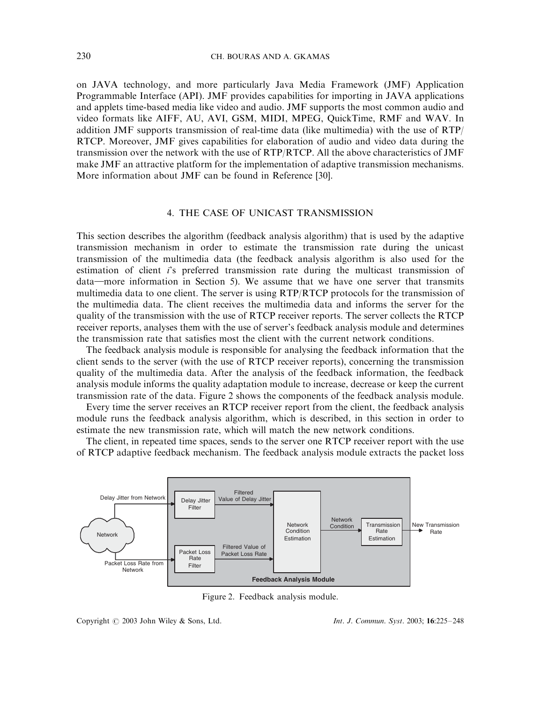on JAVA technology, and more particularly Java Media Framework (JMF) Application Programmable Interface (API). JMF provides capabilities for importing in JAVA applications and applets time-based media like video and audio. JMF supports the most common audio and video formats like AIFF, AU, AVI, GSM, MIDI, MPEG, QuickTime, RMF and WAV. In addition JMF supports transmission of real-time data (like multimedia) with the use of RTP/ RTCP. Moreover, JMF gives capabilities for elaboration of audio and video data during the transmission over the network with the use of RTP/RTCP. All the above characteristics of JMF make JMF an attractive platform for the implementation of adaptive transmission mechanisms. More information about JMF can be found in Reference [30].

## 4. THE CASE OF UNICAST TRANSMISSION

This section describes the algorithm (feedback analysis algorithm) that is used by the adaptive transmission mechanism in order to estimate the transmission rate during the unicast transmission of the multimedia data (the feedback analysis algorithm is also used for the estimation of client *i*'s preferred transmission rate during the multicast transmission of data—more information in Section 5). We assume that we have one server that transmits multimedia data to one client. The server is using RTP/RTCP protocols for the transmission of the multimedia data. The client receives the multimedia data and informs the server for the quality of the transmission with the use of RTCP receiver reports. The server collects the RTCP receiver reports, analyses them with the use of server's feedback analysis module and determines the transmission rate that satisfies most the client with the current network conditions.

The feedback analysis module is responsible for analysing the feedback information that the client sends to the server (with the use of RTCP receiver reports), concerning the transmission quality of the multimedia data. After the analysis of the feedback information, the feedback analysis module informs the quality adaptation module to increase, decrease or keep the current transmission rate of the data. Figure 2 shows the components of the feedback analysis module.

Every time the server receives an RTCP receiver report from the client, the feedback analysis module runs the feedback analysis algorithm, which is described, in this section in order to estimate the new transmission rate, which will match the new network conditions.

The client, in repeated time spaces, sends to the server one RTCP receiver report with the use of RTCP adaptive feedback mechanism. The feedback analysis module extracts the packet loss



Figure 2. Feedback analysis module.

Copyright  $\odot$  2003 John Wiley & Sons, Ltd. Int. J. Commun. Syst. 2003; 16:225–248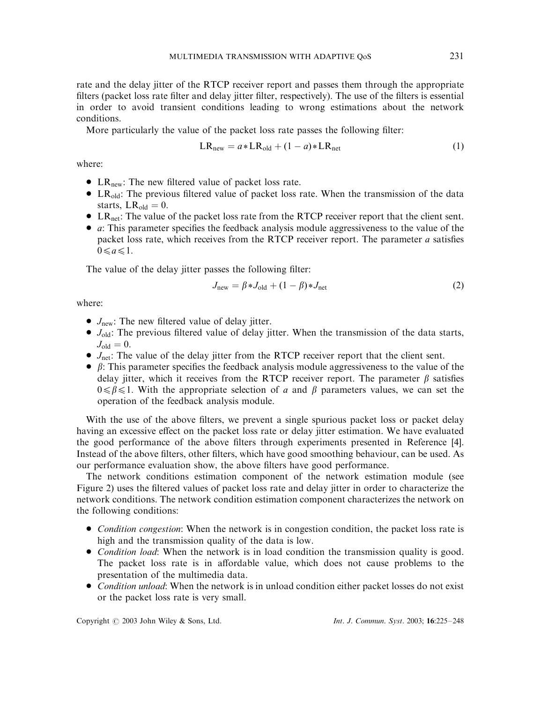rate and the delay jitter of the RTCP receiver report and passes them through the appropriate filters (packet loss rate filter and delay jitter filter, respectively). The use of the filters is essential in order to avoid transient conditions leading to wrong estimations about the network conditions.

More particularly the value of the packet loss rate passes the following filter:

$$
LR_{\text{new}} = a * LR_{\text{old}} + (1 - a) * LR_{\text{net}} \tag{1}
$$

where:

- LR<sub>new</sub>: The new filtered value of packet loss rate.
- $\bullet$  LR<sub>old</sub>: The previous filtered value of packet loss rate. When the transmission of the data starts,  $LR_{old} = 0$ .
- $\bullet$  LR<sub>net</sub>: The value of the packet loss rate from the RTCP receiver report that the client sent.
- *a*: This parameter specifies the feedback analysis module aggressiveness to the value of the packet loss rate, which receives from the RTCP receiver report. The parameter *a* satisfies  $0 \leq a \leq 1$ .

The value of the delay jitter passes the following filter:

$$
J_{\text{new}} = \beta * J_{\text{old}} + (1 - \beta) * J_{\text{net}} \tag{2}
$$

where:

- *J*<sub>new</sub>: The new filtered value of delay jitter.
- *J*<sub>old</sub>: The previous filtered value of delay jitter. When the transmission of the data starts,  $J_{old} = 0.$
- *J*<sub>net</sub>: The value of the delay jitter from the RTCP receiver report that the client sent.
- $\bullet$   $\beta$ : This parameter specifies the feedback analysis module aggressiveness to the value of the delay jitter, which it receives from the RTCP receiver report. The parameter  $\beta$  satisfies  $0 \le \beta \le 1$ . With the appropriate selection of *a* and  $\beta$  parameters values, we can set the operation of the feedback analysis module.

With the use of the above filters, we prevent a single spurious packet loss or packet delay having an excessive effect on the packet loss rate or delay jitter estimation. We have evaluated the good performance of the above filters through experiments presented in Reference [4]. Instead of the above filters, other filters, which have good smoothing behaviour, can be used. As our performance evaluation show, the above filters have good performance.

The network conditions estimation component of the network estimation module (see Figure 2) uses the filtered values of packet loss rate and delay jitter in order to characterize the network conditions. The network condition estimation component characterizes the network on the following conditions:

- Condition congestion: When the network is in congestion condition, the packet loss rate is high and the transmission quality of the data is low.
- Condition load: When the network is in load condition the transmission quality is good. The packet loss rate is in affordable value, which does not cause problems to the presentation of the multimedia data.
- Condition unload: When the network is in unload condition either packet losses do not exist or the packet loss rate is very small.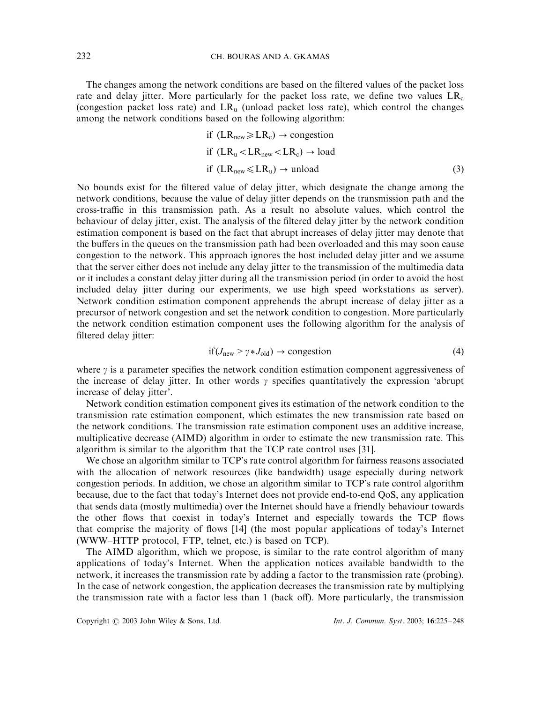The changes among the network conditions are based on the filtered values of the packet loss rate and delay jitter. More particularly for the packet loss rate, we define two values  $LR<sub>c</sub>$ (congestion packet loss rate) and  $LR_u$  (unload packet loss rate), which control the changes among the network conditions based on the following algorithm:

if 
$$
(LR_{new} \geq LR_c) \rightarrow
$$
 congestion  
if  $(LR_u < LR_{new} < LR_c) \rightarrow$  load  
if  $(LR_{new} \leq LR_u) \rightarrow$  unload (3)

No bounds exist for the filtered value of delay jitter, which designate the change among the network conditions, because the value of delay jitter depends on the transmission path and the cross-traffic in this transmission path. As a result no absolute values, which control the behaviour of delay jitter, exist. The analysis of the filtered delay jitter by the network condition estimation component is based on the fact that abrupt increases of delay jitter may denote that the buffers in the queues on the transmission path had been overloaded and this may soon cause congestion to the network. This approach ignores the host included delay jitter and we assume that the server either does not include any delay jitter to the transmission of the multimedia data or it includes a constant delay jitter during all the transmission period (in order to avoid the host included delay jitter during our experiments, we use high speed workstations as server). Network condition estimation component apprehends the abrupt increase of delay jitter as a precursor of network congestion and set the network condition to congestion. More particularly the network condition estimation component uses the following algorithm for the analysis of filtered delay jitter:

$$
if(Jnew > \gamma * Jold) \to congestion
$$
 (4)

where  $\gamma$  is a parameter specifies the network condition estimation component aggressiveness of the increase of delay jitter. In other words  $\gamma$  specifies quantitatively the expression 'abrupt' increase of delay jitter'.

Network condition estimation component gives its estimation of the network condition to the transmission rate estimation component, which estimates the new transmission rate based on the network conditions. The transmission rate estimation component uses an additive increase, multiplicative decrease (AIMD) algorithm in order to estimate the new transmission rate. This algorithm is similar to the algorithm that the TCP rate control uses [31].

We chose an algorithm similar to TCP's rate control algorithm for fairness reasons associated with the allocation of network resources (like bandwidth) usage especially during network congestion periods. In addition, we chose an algorithm similar to TCP's rate control algorithm because, due to the fact that today's Internet does not provide end-to-end QoS, any application that sends data (mostly multimedia) over the Internet should have a friendly behaviour towards the other flows that coexist in today's Internet and especially towards the TCP flows that comprise the majority of flows [14] (the most popular applications of today's Internet (WWW–HTTP protocol, FTP, telnet, etc.) is based on TCP).

The AIMD algorithm, which we propose, is similar to the rate control algorithm of many applications of today's Internet. When the application notices available bandwidth to the network, it increases the transmission rate by adding a factor to the transmission rate (probing). In the case of network congestion, the application decreases the transmission rate by multiplying the transmission rate with a factor less than 1 (back off). More particularly, the transmission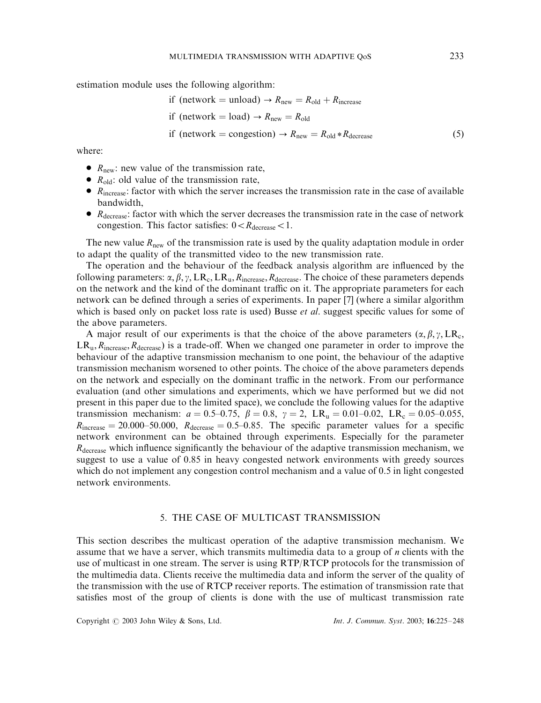estimation module uses the following algorithm:

if (network = unload) 
$$
\rightarrow R_{\text{new}} = R_{\text{old}} + R_{\text{increase}}
$$
  
if (network = load)  $\rightarrow R_{\text{new}} = R_{\text{old}}$   
if (network = congestion)  $\rightarrow R_{\text{new}} = R_{\text{old}} * R_{\text{decrease}}$  (5)

where:

- $R_{\text{new}}$ : new value of the transmission rate,
- $R_{old}$ : old value of the transmission rate,
- *R*<sub>increase</sub>: factor with which the server increases the transmission rate in the case of available bandwidth,
- *R*<sub>decrease</sub>: factor with which the server decreases the transmission rate in the case of network congestion. This factor satisfies:  $0 < R_{\text{decrease}} < 1$ .

The new value  $R_{\text{new}}$  of the transmission rate is used by the quality adaptation module in order to adapt the quality of the transmitted video to the new transmission rate.

The operation and the behaviour of the feedback analysis algorithm are influenced by the following parameters:  $\alpha$ ,  $\beta$ ,  $\gamma$ , LR<sub>c</sub>, LR<sub>u</sub>,  $R_{\text{increase}}$ ,  $R_{\text{decrease}}$ . The choice of these parameters depends on the network and the kind of the dominant traffic on it. The appropriate parameters for each network can be defined through a series of experiments. In paper [7] (where a similar algorithm which is based only on packet loss rate is used) Busse *et al.* suggest specific values for some of the above parameters.

A major result of our experiments is that the choice of the above parameters  $(\alpha, \beta, \gamma, LR_c)$ ;  $LR_{u}$ ,  $R_{\text{increase}}$ ,  $R_{\text{decrease}}$ ) is a trade-off. When we changed one parameter in order to improve the behaviour of the adaptive transmission mechanism to one point, the behaviour of the adaptive transmission mechanism worsened to other points. The choice of the above parameters depends on the network and especially on the dominant traffic in the network. From our performance evaluation (and other simulations and experiments, which we have performed but we did not present in this paper due to the limited space), we conclude the following values for the adaptive transmission mechanism:  $a = 0.5{\text{-}}0.75$ ,  $\beta = 0.8$ ,  $\gamma = 2$ , LR<sub>u</sub> = 0.01-0.02, LR<sub>c</sub> = 0.05-0.055,  $R_{\text{increase}} = 20.000 - 50.000$ ,  $R_{\text{decrease}} = 0.5 - 0.85$ . The specific parameter values for a specific network environment can be obtained through experiments. Especially for the parameter  $R_{\text{decrease}}$  which influence significantly the behaviour of the adaptive transmission mechanism, we suggest to use a value of 0.85 in heavy congested network environments with greedy sources which do not implement any congestion control mechanism and a value of 0.5 in light congested network environments.

## 5. THE CASE OF MULTICAST TRANSMISSION

This section describes the multicast operation of the adaptive transmission mechanism. We assume that we have a server, which transmits multimedia data to a group of *n* clients with the use of multicast in one stream. The server is using RTP/RTCP protocols for the transmission of the multimedia data. Clients receive the multimedia data and inform the server of the quality of the transmission with the use of RTCP receiver reports. The estimation of transmission rate that satisfies most of the group of clients is done with the use of multicast transmission rate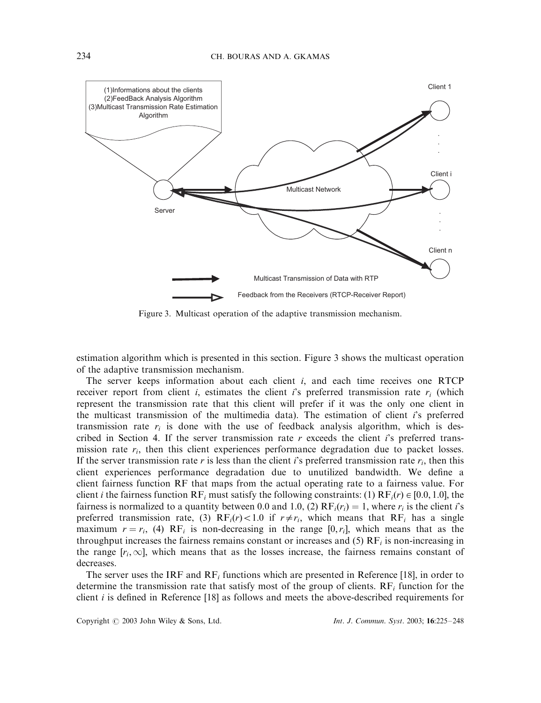

Figure 3. Multicast operation of the adaptive transmission mechanism.

estimation algorithm which is presented in this section. Figure 3 shows the multicast operation of the adaptive transmission mechanism.

The server keeps information about each client *i*; and each time receives one RTCP receiver report from client *i*, estimates the client *i*'s preferred transmission rate  $r_i$  (which represent the transmission rate that this client will prefer if it was the only one client in the multicast transmission of the multimedia data). The estimation of client *i*'s preferred transmission rate  $r_i$  is done with the use of feedback analysis algorithm, which is described in Section 4. If the server transmission rate *r* exceeds the client *i*'s preferred transmission rate *ri*; then this client experiences performance degradation due to packet losses. If the server transmission rate  $r$  is less than the client *i*'s preferred transmission rate  $r_i$ , then this client experiences performance degradation due to unutilized bandwidth. We define a client fairness function RF that maps from the actual operating rate to a fairness value. For client *i* the fairness function  $RF_i$  must satisfy the following constraints: (1)  $RF_i(r) \in [0.0, 1.0]$ , the fairness is normalized to a quantity between 0.0 and 1.0, (2)  $RF_i(r_i) = 1$ , where  $r_i$  is the client *i*'s preferred transmission rate, (3)  $RF_i(r) < 1.0$  if  $r \neq r_i$ , which means that  $RF_i$  has a single maximum  $r = r_i$ , (4) RF<sub>i</sub> is non-decreasing in the range [0,  $r_i$ ], which means that as the throughput increases the fairness remains constant or increases and  $(5)$   $RF<sub>i</sub>$  is non-increasing in the range  $[r_i, \infty]$ , which means that as the losses increase, the fairness remains constant of decreases.

The server uses the IRF and  $RF_i$  functions which are presented in Reference [18], in order to determine the transmission rate that satisfy most of the group of clients. RF*<sup>i</sup>* function for the client *i* is defined in Reference [18] as follows and meets the above-described requirements for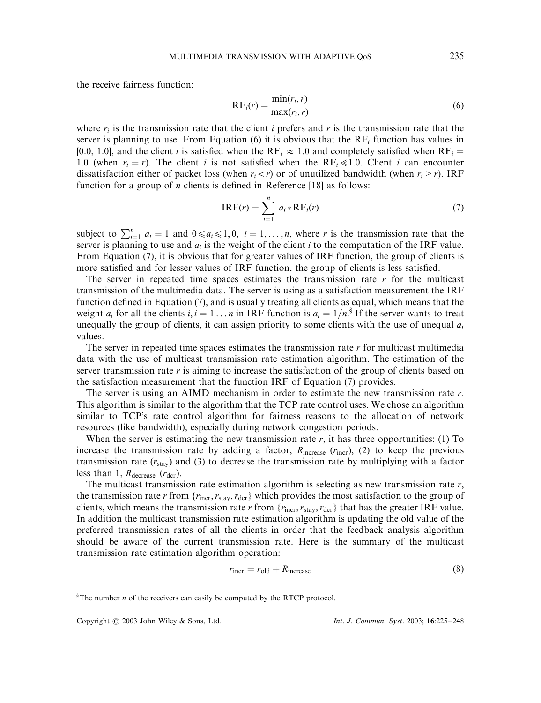the receive fairness function:

$$
RF_i(r) = \frac{\min(r_i, r)}{\max(r_i, r)}
$$
\n(6)

where  $r_i$  is the transmission rate that the client *i* prefers and *r* is the transmission rate that the server is planning to use. From Equation (6) it is obvious that the  $RF<sub>i</sub>$  function has values in [0.0, 1.0], and the client *i* is satisfied when the RF<sub>i</sub>  $\approx$  1.0 and completely satisfied when RF<sub>i</sub> = 1.0 (when  $r_i = r$ ). The client *i* is not satisfied when the  $RF_i \ll 1.0$ . Client *i* can encounter dissatisfaction either of packet loss (when  $r_i < r$ ) or of unutilized bandwidth (when  $r_i > r$ ). IRF function for a group of *n* clients is defined in Reference [18] as follows:

$$
IRF(r) = \sum_{i=1}^{n} a_i * RF_i(r)
$$
 (7)

subject to  $\sum_{i=1}^{n} a_i = 1$  and  $0 \le a_i \le 1, 0, i = 1, \ldots, n$ , where *r* is the transmission rate that the server is planning to use and  $a_i$  is the weight of the client  $i$  to the computation of the IRF value. From Equation (7), it is obvious that for greater values of IRF function, the group of clients is more satisfied and for lesser values of IRF function, the group of clients is less satisfied.

The server in repeated time spaces estimates the transmission rate *r* for the multicast transmission of the multimedia data. The server is using as a satisfaction measurement the IRF function defined in Equation (7), and is usually treating all clients as equal, which means that the weight  $a_i$  for all the clients  $i, i = 1...n$  in IRF function is  $a_i = 1/n$ <sup>§</sup> If the server wants to treat unequally the group of clients, it can assign priority to some clients with the use of unequal  $a_i$ values.

The server in repeated time spaces estimates the transmission rate r for multicast multimedia data with the use of multicast transmission rate estimation algorithm. The estimation of the server transmission rate *r* is aiming to increase the satisfaction of the group of clients based on the satisfaction measurement that the function IRF of Equation (7) provides.

The server is using an AIMD mechanism in order to estimate the new transmission rate *r*: This algorithm is similar to the algorithm that the TCP rate control uses. We chose an algorithm similar to TCP's rate control algorithm for fairness reasons to the allocation of network resources (like bandwidth), especially during network congestion periods.

When the server is estimating the new transmission rate  $r$ , it has three opportunities: (1) To increase the transmission rate by adding a factor,  $R_{\text{increase}}$   $(r_{\text{incr}})$ , (2) to keep the previous transmission rate  $(r_{\text{stay}})$  and (3) to decrease the transmission rate by multiplying with a factor less than 1,  $R_{\text{decrease}}$  ( $r_{\text{der}}$ ).

The multicast transmission rate estimation algorithm is selecting as new transmission rate *r*; the transmission rate *r* from { $r_{\text{incr}}, r_{\text{stay}}, r_{\text{der}}$ } which provides the most satisfaction to the group of clients, which means the transmission rate *r* from  $\{r_{\text{incr}}, r_{\text{stay}}, r_{\text{der}}\}$  that has the greater IRF value. In addition the multicast transmission rate estimation algorithm is updating the old value of the preferred transmission rates of all the clients in order that the feedback analysis algorithm should be aware of the current transmission rate. Here is the summary of the multicast transmission rate estimation algorithm operation:

$$
r_{\text{incr}} = r_{\text{old}} + R_{\text{increase}} \tag{8}
$$

 $§$ The number *n* of the receivers can easily be computed by the RTCP protocol.

Copyright  $\odot$  2003 John Wiley & Sons, Ltd. Int. J. Commun. Syst. 2003; 16:225-248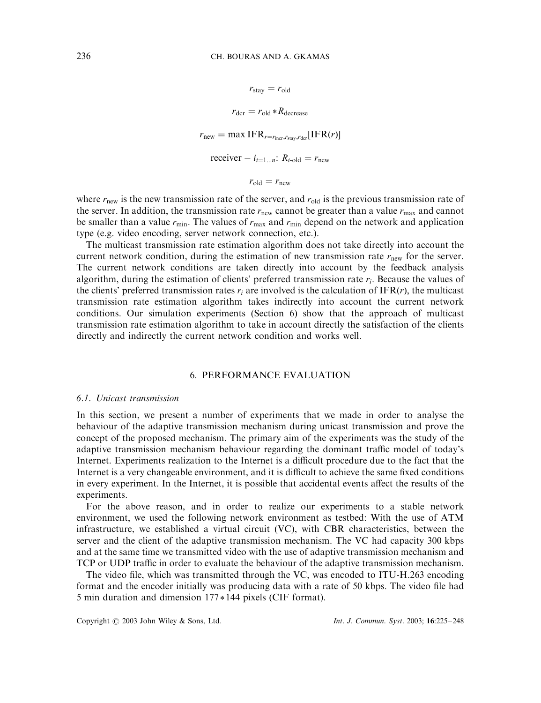$r_{\text{stay}} = r_{\text{old}}$  $r_{\text{der}} = r_{\text{old}} * R_{\text{decrease}}$  $r_{\text{new}} = \max \text{IFR}_{r=r_{\text{incr}}, r_{\text{stay}}, r_{\text{der}}}[\text{IFR}(r)]$ receiver  $- i_{i=1...n}$ :  $R_{i\text{-old}} = r_{\text{new}}$  $r_{old} = r_{new}$ 

where  $r_{\text{new}}$  is the new transmission rate of the server, and  $r_{\text{old}}$  is the previous transmission rate of the server. In addition, the transmission rate  $r_{\text{new}}$  cannot be greater than a value  $r_{\text{max}}$  and cannot be smaller than a value  $r_{\text{min}}$ . The values of  $r_{\text{max}}$  and  $r_{\text{min}}$  depend on the network and application type (e.g. video encoding, server network connection, etc.).

The multicast transmission rate estimation algorithm does not take directly into account the current network condition, during the estimation of new transmission rate  $r_{\text{new}}$  for the server. The current network conditions are taken directly into account by the feedback analysis algorithm, during the estimation of clients' preferred transmission rate *ri*: Because the values of the clients' preferred transmission rates  $r_i$  are involved is the calculation of IFR $(r)$ , the multicast transmission rate estimation algorithm takes indirectly into account the current network conditions. Our simulation experiments (Section 6) show that the approach of multicast transmission rate estimation algorithm to take in account directly the satisfaction of the clients directly and indirectly the current network condition and works well.

### 6. PERFORMANCE EVALUATION

#### 6.1. Unicast transmission

In this section, we present a number of experiments that we made in order to analyse the behaviour of the adaptive transmission mechanism during unicast transmission and prove the concept of the proposed mechanism. The primary aim of the experiments was the study of the adaptive transmission mechanism behaviour regarding the dominant traffic model of today's Internet. Experiments realization to the Internet is a difficult procedure due to the fact that the Internet is a very changeable environment, and it is difficult to achieve the same fixed conditions in every experiment. In the Internet, it is possible that accidental events affect the results of the experiments.

For the above reason, and in order to realize our experiments to a stable network environment, we used the following network environment as testbed: With the use of ATM infrastructure, we established a virtual circuit (VC), with CBR characteristics, between the server and the client of the adaptive transmission mechanism. The VC had capacity 300 kbps and at the same time we transmitted video with the use of adaptive transmission mechanism and TCP or UDP traffic in order to evaluate the behaviour of the adaptive transmission mechanism.

The video file, which was transmitted through the VC, was encoded to ITU-H.263 encoding format and the encoder initially was producing data with a rate of 50 kbps: The video file had 5 min duration and dimension 177\*144 pixels (CIF format).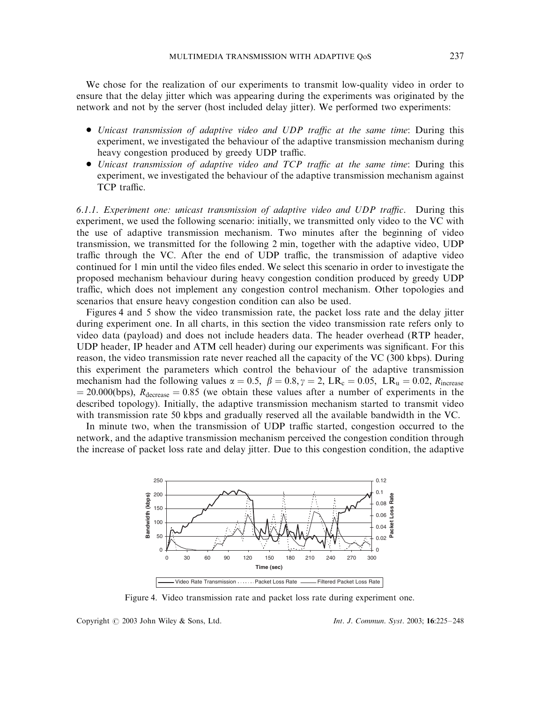We chose for the realization of our experiments to transmit low-quality video in order to ensure that the delay jitter which was appearing during the experiments was originated by the network and not by the server (host included delay jitter). We performed two experiments:

- Unicast transmission of adaptive video and UDP traffic at the same time: During this experiment, we investigated the behaviour of the adaptive transmission mechanism during heavy congestion produced by greedy UDP traffic.
- Unicast transmission of adaptive video and TCP traffic at the same time: During this experiment, we investigated the behaviour of the adaptive transmission mechanism against TCP traffic.

6.1.1. Experiment one: unicast transmission of adaptive video and UDP traffic. During this experiment, we used the following scenario: initially, we transmitted only video to the VC with the use of adaptive transmission mechanism. Two minutes after the beginning of video transmission, we transmitted for the following 2 min; together with the adaptive video, UDP traffic through the VC. After the end of UDP traffic, the transmission of adaptive video continued for 1 min until the video files ended. We select this scenario in order to investigate the proposed mechanism behaviour during heavy congestion condition produced by greedy UDP traffic, which does not implement any congestion control mechanism. Other topologies and scenarios that ensure heavy congestion condition can also be used.

Figures 4 and 5 show the video transmission rate, the packet loss rate and the delay jitter during experiment one. In all charts, in this section the video transmission rate refers only to video data (payload) and does not include headers data. The header overhead (RTP header, UDP header, IP header and ATM cell header) during our experiments was significant. For this reason, the video transmission rate never reached all the capacity of the VC (300 kbps). During this experiment the parameters which control the behaviour of the adaptive transmission mechanism had the following values  $\alpha = 0.5$ ,  $\beta = 0.8$ ,  $\gamma = 2$ , LR<sub>c</sub> = 0.05, LR<sub>u</sub> = 0.02, *R*<sub>increase</sub>  $= 20.000(bps)$ ,  $R_{\text{decrease}} = 0.85$  (we obtain these values after a number of experiments in the described topology). Initially, the adaptive transmission mechanism started to transmit video with transmission rate 50 kbps and gradually reserved all the available bandwidth in the VC.

In minute two, when the transmission of UDP traffic started, congestion occurred to the network, and the adaptive transmission mechanism perceived the congestion condition through the increase of packet loss rate and delay jitter. Due to this congestion condition, the adaptive



Figure 4. Video transmission rate and packet loss rate during experiment one.

Copyright  $\odot$  2003 John Wiley & Sons, Ltd. Int. J. Commun. Syst. 2003; 16:225-248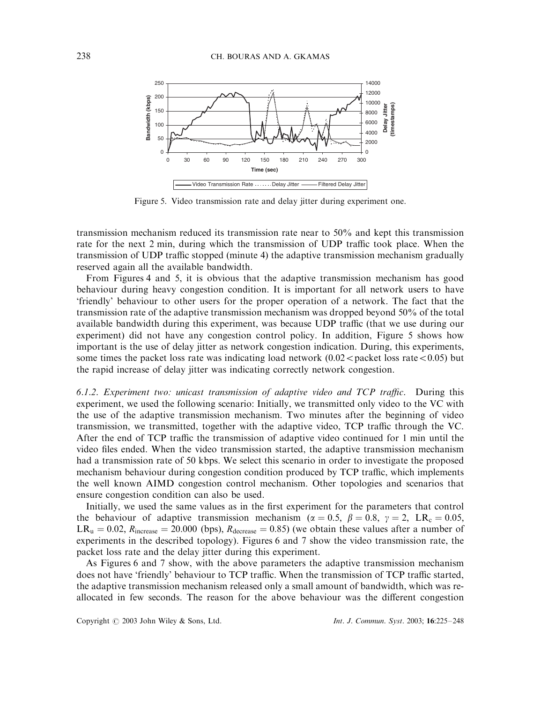

Figure 5. Video transmission rate and delay jitter during experiment one.

transmission mechanism reduced its transmission rate near to 50% and kept this transmission rate for the next 2 min; during which the transmission of UDP traffic took place. When the transmission of UDP traffic stopped (minute 4) the adaptive transmission mechanism gradually reserved again all the available bandwidth.

From Figures 4 and 5, it is obvious that the adaptive transmission mechanism has good behaviour during heavy congestion condition. It is important for all network users to have 'friendly' behaviour to other users for the proper operation of a network. The fact that the transmission rate of the adaptive transmission mechanism was dropped beyond 50% of the total available bandwidth during this experiment, was because UDP traffic (that we use during our experiment) did not have any congestion control policy. In addition, Figure 5 shows how important is the use of delay jitter as network congestion indication. During, this experiments, some times the packet loss rate was indicating load network  $(0.02 <$  packet loss rate $< 0.05$ ) but the rapid increase of delay jitter was indicating correctly network congestion.

6.1.2. Experiment two: unicast transmission of adaptive video and TCP traffic. During this experiment, we used the following scenario: Initially, we transmitted only video to the VC with the use of the adaptive transmission mechanism. Two minutes after the beginning of video transmission, we transmitted, together with the adaptive video, TCP traffic through the VC. After the end of TCP traffic the transmission of adaptive video continued for 1 min until the video files ended. When the video transmission started, the adaptive transmission mechanism had a transmission rate of 50 kbps: We select this scenario in order to investigate the proposed mechanism behaviour during congestion condition produced by TCP traffic, which implements the well known AIMD congestion control mechanism. Other topologies and scenarios that ensure congestion condition can also be used.

Initially, we used the same values as in the first experiment for the parameters that control the behaviour of adaptive transmission mechanism ( $\alpha = 0.5$ ,  $\beta = 0.8$ ,  $\gamma = 2$ , LR<sub>c</sub> = 0.05,  $LR_u = 0.02$ ,  $R_{increase} = 20.000$  (bps),  $R_{decrease} = 0.85$ ) (we obtain these values after a number of experiments in the described topology). Figures 6 and 7 show the video transmission rate, the packet loss rate and the delay jitter during this experiment.

As Figures 6 and 7 show, with the above parameters the adaptive transmission mechanism does not have 'friendly' behaviour to TCP traffic. When the transmission of TCP traffic started, the adaptive transmission mechanism released only a small amount of bandwidth, which was reallocated in few seconds. The reason for the above behaviour was the different congestion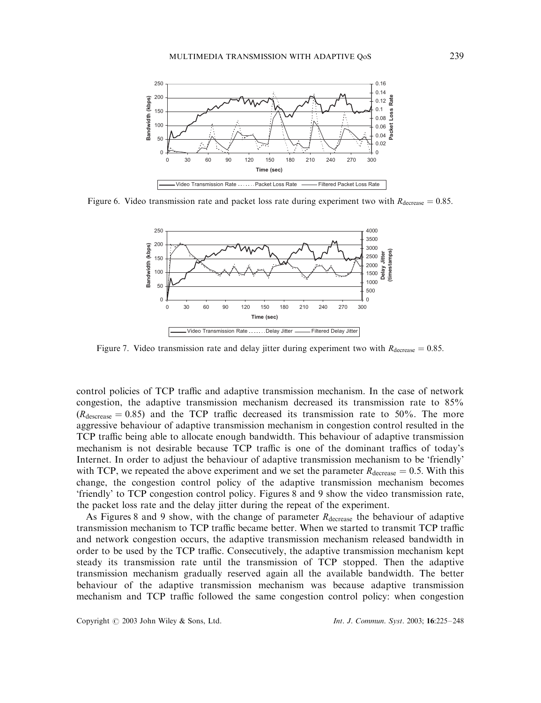

Figure 6. Video transmission rate and packet loss rate during experiment two with  $R_{\text{decrease}} = 0.85$ .



Figure 7. Video transmission rate and delay jitter during experiment two with  $R_{\text{decrease}} = 0.85$ .

control policies of TCP traffic and adaptive transmission mechanism. In the case of network congestion, the adaptive transmission mechanism decreased its transmission rate to 85%  $(R<sub>descrease</sub> = 0.85)$  and the TCP traffic decreased its transmission rate to 50%. The more aggressive behaviour of adaptive transmission mechanism in congestion control resulted in the TCP traffic being able to allocate enough bandwidth. This behaviour of adaptive transmission mechanism is not desirable because TCP traffic is one of the dominant traffics of today's Internet. In order to adjust the behaviour of adaptive transmission mechanism to be 'friendly' with TCP, we repeated the above experiment and we set the parameter  $R_{\text{decrease}} = 0.5$ . With this change, the congestion control policy of the adaptive transmission mechanism becomes 'friendly' to TCP congestion control policy. Figures 8 and 9 show the video transmission rate, the packet loss rate and the delay jitter during the repeat of the experiment.

As Figures 8 and 9 show, with the change of parameter *R*decrease the behaviour of adaptive transmission mechanism to TCP traffic became better. When we started to transmit TCP traffic and network congestion occurs, the adaptive transmission mechanism released bandwidth in order to be used by the TCP traffic. Consecutively, the adaptive transmission mechanism kept steady its transmission rate until the transmission of TCP stopped. Then the adaptive transmission mechanism gradually reserved again all the available bandwidth. The better behaviour of the adaptive transmission mechanism was because adaptive transmission mechanism and TCP traffic followed the same congestion control policy: when congestion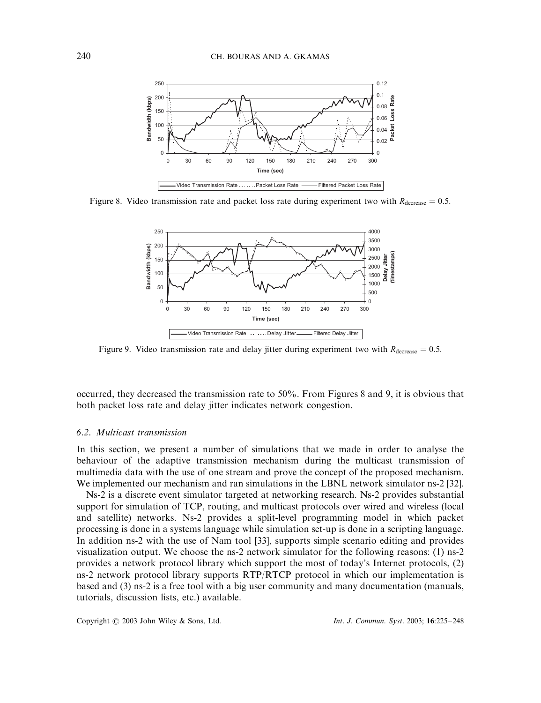

Figure 8. Video transmission rate and packet loss rate during experiment two with  $R_{\text{decrease}} = 0.5$ .



Figure 9. Video transmission rate and delay jitter during experiment two with  $R_{\text{decrease}} = 0.5$ .

occurred, they decreased the transmission rate to 50%. From Figures 8 and 9, it is obvious that both packet loss rate and delay jitter indicates network congestion.

#### 6.2. Multicast transmission

In this section, we present a number of simulations that we made in order to analyse the behaviour of the adaptive transmission mechanism during the multicast transmission of multimedia data with the use of one stream and prove the concept of the proposed mechanism. We implemented our mechanism and ran simulations in the LBNL network simulator ns-2 [32].

Ns-2 is a discrete event simulator targeted at networking research. Ns-2 provides substantial support for simulation of TCP, routing, and multicast protocols over wired and wireless (local and satellite) networks. Ns-2 provides a split-level programming model in which packet processing is done in a systems language while simulation set-up is done in a scripting language. In addition ns-2 with the use of Nam tool [33], supports simple scenario editing and provides visualization output. We choose the ns-2 network simulator for the following reasons: (1) ns-2 provides a network protocol library which support the most of today's Internet protocols, (2) ns-2 network protocol library supports RTP/RTCP protocol in which our implementation is based and (3) ns-2 is a free tool with a big user community and many documentation (manuals, tutorials, discussion lists, etc.) available.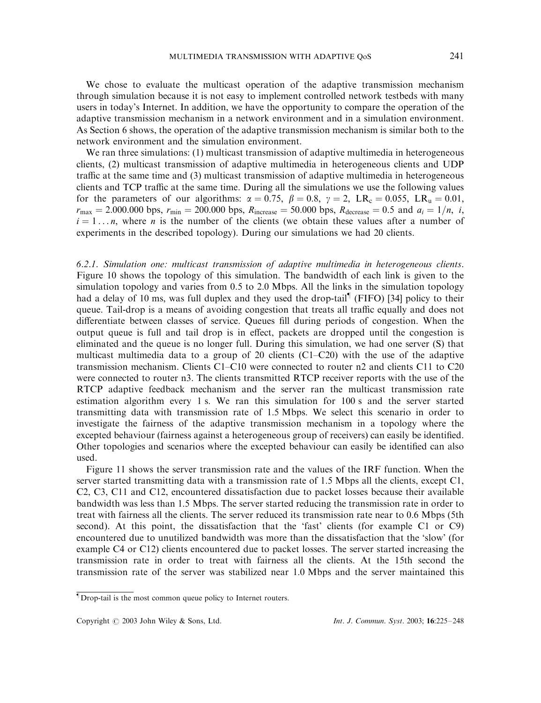We chose to evaluate the multicast operation of the adaptive transmission mechanism through simulation because it is not easy to implement controlled network testbeds with many users in today's Internet. In addition, we have the opportunity to compare the operation of the adaptive transmission mechanism in a network environment and in a simulation environment. As Section 6 shows, the operation of the adaptive transmission mechanism is similar both to the network environment and the simulation environment.

We ran three simulations: (1) multicast transmission of adaptive multimedia in heterogeneous clients, (2) multicast transmission of adaptive multimedia in heterogeneous clients and UDP traffic at the same time and (3) multicast transmission of adaptive multimedia in heterogeneous clients and TCP traffic at the same time. During all the simulations we use the following values for the parameters of our algorithms:  $\alpha = 0.75$ ,  $\beta = 0.8$ ,  $\gamma = 2$ , LR<sub>c</sub> = 0.055, LR<sub>u</sub> = 0.01,  $r_{\text{max}} = 2.000.000 \text{ bps}, r_{\text{min}} = 200.000 \text{ bps}, R_{\text{increase}} = 50.000 \text{ bps}, R_{\text{decrease}} = 0.5 \text{ and } a_i = 1/n, i$  $i = 1...n$ , where *n* is the number of the clients (we obtain these values after a number of experiments in the described topology). During our simulations we had 20 clients.

6.2.1. Simulation one: multicast transmission of adaptive multimedia in heterogeneous clients. Figure 10 shows the topology of this simulation. The bandwidth of each link is given to the simulation topology and varies from 0.5 to 2.0 Mbps. All the links in the simulation topology had a delay of 10 ms, was full duplex and they used the drop-tail  $\vert$  (FIFO) [34] policy to their queue. Tail-drop is a means of avoiding congestion that treats all traffic equally and does not differentiate between classes of service. Queues fill during periods of congestion. When the output queue is full and tail drop is in effect, packets are dropped until the congestion is eliminated and the queue is no longer full. During this simulation, we had one server (S) that multicast multimedia data to a group of 20 clients  $(C1-C20)$  with the use of the adaptive transmission mechanism. Clients C1–C10 were connected to router n2 and clients C11 to C20 were connected to router n3. The clients transmitted RTCP receiver reports with the use of the RTCP adaptive feedback mechanism and the server ran the multicast transmission rate estimation algorithm every 1 s: We ran this simulation for 100 s and the server started transmitting data with transmission rate of 1:5 Mbps: We select this scenario in order to investigate the fairness of the adaptive transmission mechanism in a topology where the excepted behaviour (fairness against a heterogeneous group of receivers) can easily be identified. Other topologies and scenarios where the excepted behaviour can easily be identified can also used.

Figure 11 shows the server transmission rate and the values of the IRF function. When the server started transmitting data with a transmission rate of 1:5 Mbps all the clients, except C1, C2, C3, C11 and C12, encountered dissatisfaction due to packet losses because their available bandwidth was less than 1:5 Mbps: The server started reducing the transmission rate in order to treat with fairness all the clients. The server reduced its transmission rate near to 0:6 Mbps (5th second). At this point, the dissatisfaction that the 'fast' clients (for example C1 or C9) encountered due to unutilized bandwidth was more than the dissatisfaction that the 'slow' (for example C4 or C12) clients encountered due to packet losses. The server started increasing the transmission rate in order to treat with fairness all the clients. At the 15th second the transmission rate of the server was stabilized near 1:0 Mbps and the server maintained this

<sup>}</sup>Drop-tail is the most common queue policy to Internet routers.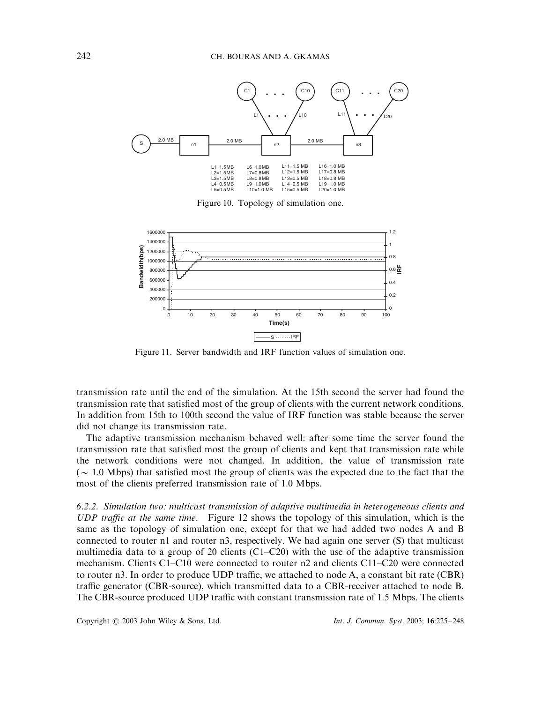

Figure 10. Topology of simulation one.



Figure 11. Server bandwidth and IRF function values of simulation one.

transmission rate until the end of the simulation. At the 15th second the server had found the transmission rate that satisfied most of the group of clients with the current network conditions. In addition from 15th to 100th second the value of IRF function was stable because the server did not change its transmission rate.

The adaptive transmission mechanism behaved well: after some time the server found the transmission rate that satisfied most the group of clients and kept that transmission rate while the network conditions were not changed. In addition, the value of transmission rate  $\sim$  1.0 Mbps) that satisfied most the group of clients was the expected due to the fact that the most of the clients preferred transmission rate of 1:0 Mbps:

6.2.2. Simulation two: multicast transmission of adaptive multimedia in heterogeneous clients and UDP traffic at the same time. Figure 12 shows the topology of this simulation, which is the same as the topology of simulation one, except for that we had added two nodes A and B connected to router n1 and router n3, respectively. We had again one server (S) that multicast multimedia data to a group of 20 clients  $(C1-C20)$  with the use of the adaptive transmission mechanism. Clients C1–C10 were connected to router n2 and clients C11–C20 were connected to router n3. In order to produce UDP traffic, we attached to node A, a constant bit rate (CBR) traffic generator (CBR-source), which transmitted data to a CBR-receiver attached to node B. The CBR-source produced UDP traffic with constant transmission rate of 1:5 Mbps: The clients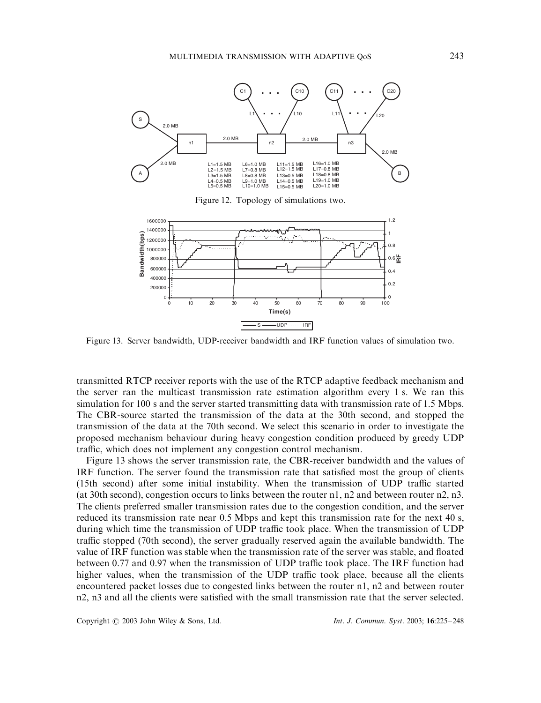

Figure 13. Server bandwidth, UDP-receiver bandwidth and IRF function values of simulation two.

S UDP IRF

transmitted RTCP receiver reports with the use of the RTCP adaptive feedback mechanism and the server ran the multicast transmission rate estimation algorithm every 1 s: We ran this simulation for 100 s and the server started transmitting data with transmission rate of 1.5 Mbps. The CBR-source started the transmission of the data at the 30th second, and stopped the transmission of the data at the 70th second. We select this scenario in order to investigate the proposed mechanism behaviour during heavy congestion condition produced by greedy UDP traffic, which does not implement any congestion control mechanism.

Figure 13 shows the server transmission rate, the CBR-receiver bandwidth and the values of IRF function. The server found the transmission rate that satisfied most the group of clients (15th second) after some initial instability. When the transmission of UDP traffic started (at 30th second), congestion occurs to links between the router n1, n2 and between router n2, n3. The clients preferred smaller transmission rates due to the congestion condition, and the server reduced its transmission rate near 0.5 Mbps and kept this transmission rate for the next 40 s, during which time the transmission of UDP traffic took place. When the transmission of UDP traffic stopped (70th second), the server gradually reserved again the available bandwidth. The value of IRF function was stable when the transmission rate of the server was stable, and floated between 0.77 and 0.97 when the transmission of UDP traffic took place. The IRF function had higher values, when the transmission of the UDP traffic took place, because all the clients encountered packet losses due to congested links between the router n1, n2 and between router n2, n3 and all the clients were satisfied with the small transmission rate that the server selected.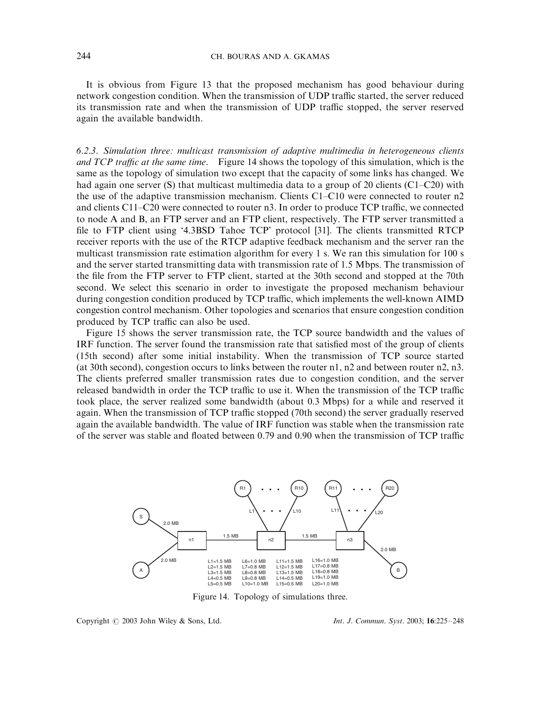It is obvious from Figure 13 that the proposed mechanism has good behaviour during network congestion condition. When the transmission of UDP traffic started, the server reduced its transmission rate and when the transmission of UDP traffic stopped, the server reserved again the available bandwidth.

6.2.3. Simulation three: multicast transmission of adaptive multimedia in heterogeneous clients and TCP traffic at the same time. Figure 14 shows the topology of this simulation, which is the same as the topology of simulation two except that the capacity of some links has changed. We had again one server (S) that multicast multimedia data to a group of 20 clients (C1–C20) with the use of the adaptive transmission mechanism. Clients C1–C10 were connected to router n2 and clients C11–C20 were connected to router n3. In order to produce TCP traffic, we connected to node A and B, an FTP server and an FTP client, respectively. The FTP server transmitted a file to FTP client using '4.3BSD Tahoe TCP' protocol [31]. The clients transmitted RTCP receiver reports with the use of the RTCP adaptive feedback mechanism and the server ran the multicast transmission rate estimation algorithm for every 1 s. We ran this simulation for 100 s and the server started transmitting data with transmission rate of 1:5 Mbps: The transmission of the file from the FTP server to FTP client, started at the 30th second and stopped at the 70th second. We select this scenario in order to investigate the proposed mechanism behaviour during congestion condition produced by TCP traffic, which implements the well-known AIMD congestion control mechanism. Other topologies and scenarios that ensure congestion condition produced by TCP traffic can also be used.

Figure 15 shows the server transmission rate, the TCP source bandwidth and the values of IRF function. The server found the transmission rate that satisfied most of the group of clients (15th second) after some initial instability. When the transmission of TCP source started (at 30th second), congestion occurs to links between the router n1, n2 and between router n2, n3. The clients preferred smaller transmission rates due to congestion condition, and the server released bandwidth in order the TCP traffic to use it. When the transmission of the TCP traffic took place, the server realized some bandwidth (about 0:3 Mbps) for a while and reserved it again. When the transmission of TCP traffic stopped (70th second) the server gradually reserved again the available bandwidth. The value of IRF function was stable when the transmission rate of the server was stable and floated between 0.79 and 0.90 when the transmission of TCP traffic



Figure 14. Topology of simulations three.

Copyright  $\odot$  2003 John Wiley & Sons, Ltd. Int. J. Commun. Syst. 2003; 16:225-248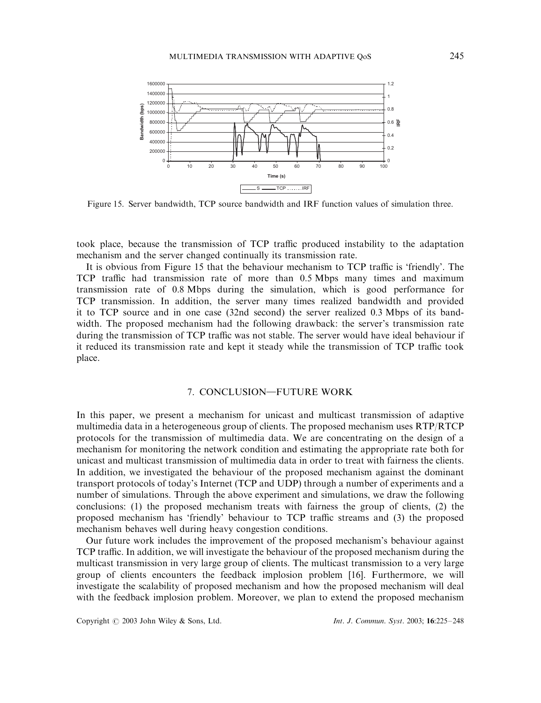

Figure 15. Server bandwidth, TCP source bandwidth and IRF function values of simulation three.

took place, because the transmission of TCP traffic produced instability to the adaptation mechanism and the server changed continually its transmission rate.

It is obvious from Figure 15 that the behaviour mechanism to TCP traffic is 'friendly'. The TCP traffic had transmission rate of more than 0:5 Mbps many times and maximum transmission rate of 0:8 Mbps during the simulation, which is good performance for TCP transmission. In addition, the server many times realized bandwidth and provided it to TCP source and in one case (32nd second) the server realized 0:3 Mbps of its bandwidth. The proposed mechanism had the following drawback: the server's transmission rate during the transmission of TCP traffic was not stable. The server would have ideal behaviour if it reduced its transmission rate and kept it steady while the transmission of TCP traffic took place.

#### 7. CONCLUSION-FUTURE WORK

In this paper, we present a mechanism for unicast and multicast transmission of adaptive multimedia data in a heterogeneous group of clients. The proposed mechanism uses RTP/RTCP protocols for the transmission of multimedia data. We are concentrating on the design of a mechanism for monitoring the network condition and estimating the appropriate rate both for unicast and multicast transmission of multimedia data in order to treat with fairness the clients. In addition, we investigated the behaviour of the proposed mechanism against the dominant transport protocols of today's Internet (TCP and UDP) through a number of experiments and a number of simulations. Through the above experiment and simulations, we draw the following conclusions: (1) the proposed mechanism treats with fairness the group of clients, (2) the proposed mechanism has 'friendly' behaviour to TCP traffic streams and (3) the proposed mechanism behaves well during heavy congestion conditions.

Our future work includes the improvement of the proposed mechanism's behaviour against TCP traffic. In addition, we will investigate the behaviour of the proposed mechanism during the multicast transmission in very large group of clients. The multicast transmission to a very large group of clients encounters the feedback implosion problem [16]. Furthermore, we will investigate the scalability of proposed mechanism and how the proposed mechanism will deal with the feedback implosion problem. Moreover, we plan to extend the proposed mechanism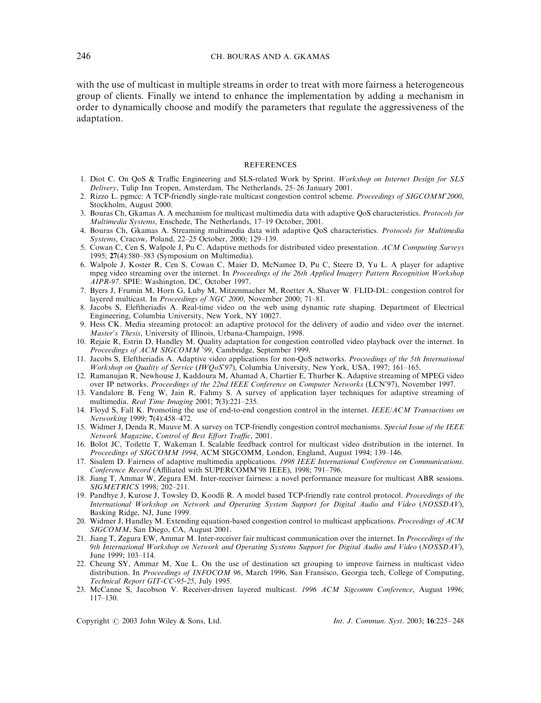with the use of multicast in multiple streams in order to treat with more fairness a heterogeneous group of clients. Finally we intend to enhance the implementation by adding a mechanism in order to dynamically choose and modify the parameters that regulate the aggressiveness of the adaptation.

#### **REFERENCES**

- 1. Diot C. On QoS & Traffic Engineering and SLS-related Work by Sprint. Workshop on Internet Design for SLS Delivery, Tulip Inn Tropen, Amsterdam, The Netherlands, 25–26 January 2001.
- 2. Rizzo L. pgmcc: A TCP-friendly single-rate multicast congestion control scheme. Proceedings of SIGCOMM'2000, Stockholm, August 2000.
- 3. Bouras Ch, Gkamas A. A mechanism for multicast multimedia data with adaptive QoS characteristics. Protocols for Multimedia Systems, Enschede, The Netherlands, 17–19 October, 2001.
- 4. Bouras Ch, Gkamas A. Streaming multimedia data with adaptive QoS characteristics. Protocols for Multimedia Systems, Cracow, Poland, 22–25 October, 2000; 129–139.
- 5. Cowan C, Cen S, Walpole J, Pu C. Adaptive methods for distributed video presentation. ACM Computing Surveys 1995; 27(4):580–583 (Symposium on Multimedia).
- 6. Walpole J, Koster R, Cen S, Cowan C, Maier D, McNamee D, Pu C, Steere D, Yu L. A player for adaptive mpeg video streaming over the internet. In Proceedings of the 26th Applied Imagery Pattern Recognition Workshop AIPR-97. SPIE: Washington, DC, October 1997.
- 7. Byers J, Frumin M, Horn G, Luby M, Mitzenmacher M, Roetter A, Shaver W. FLID-DL: congestion control for layered multicast. In Proceedings of NGC 2000, November 2000; 71–81.
- 8. Jacobs S, Eleftheriadis A. Real-time video on the web using dynamic rate shaping. Department of Electrical Engineering, Columbia University, New York, NY 10027.
- 9. Hess CK. Media streaming protocol: an adaptive protocol for the delivery of audio and video over the internet. Master's Thesis, University of Illinois, Urbana-Champaign, 1998.
- 10. Rejaie R, Estrin D, Handley M. Quality adaptation for congestion controlled video playback over the internet. In Proceedings of ACM SIGCOMM '99, Cambridge, September 1999.
- 11. Jacobs S, Eleftheriadis A. Adaptive video applications for non-QoS networks. Proceedings of the 5th International Workshop on Quality of Service (IWQoS'97), Columbia University, New York, USA, 1997; 161-165.
- 12. Ramanujan R, Newhouse J, Kaddoura M, Ahamad A, Chartier E, Thurber K. Adaptive streaming of MPEG video over IP networks. Proceedings of the 22nd IEEE Conference on Computer Networks (LCN'97), November 1997.
- 13. Vandalore B, Feng W, Jain R, Fahmy S. A survey of application layer techniques for adaptive streaming of multimedia. Real Time Imaging 2001; 7(3):221–235.
- 14. Floyd S, Fall K. Promoting the use of end-to-end congestion control in the internet. IEEE/ACM Transactions on Networking 1999; 7(4):458–472.
- 15. Widmer J, Denda R, Mauve M. A survey on TCP-friendly congestion control mechanisms. Special Issue of the IEEE Network Magazine, Control of Best Effort Traffic, 2001.
- 16. Bolot JC, Toilette T, Wakeman I. Scalable feedback control for multicast video distribution in the internet. In Proceedings of SIGCOMM 1994, ACM SIGCOMM, London, England, August 1994; 139–146.
- 17. Sisalem D. Fairness of adaptive multimedia applications. 1998 IEEE International Conference on Communications. Conference Record (Affiliated with SUPERCOMM'98 IEEE), 1998; 791–796.
- 18. Jiang T, Ammar W, Zegura EM. Inter-receiver fairness: a novel performance measure for multicast ABR sessions. SIGMETRICS 1998; 202–211.
- 19. Pandhye J, Kurose J, Towsley D, Koodli R. A model based TCP-friendly rate control protocol. Proceedings of the International Workshop on Network and Operating System Support for Digital Audio and Video (NOSSDAV), Basking Ridge, NJ, June 1999.
- 20. Widmer J, Handley M. Extending equation-based congestion control to multicast applications. Proceedings of ACM SIGCOMM, San Diego, CA, August 2001.
- 21. Jiang T, Zegura EW, Ammar M. Inter-receiver fair multicast communication over the internet. In *Proceedings of the* 9th International Workshop on Network and Operating Systems Support for Digital Audio and Video (NOSSDAV), June 1999; 103–114.
- 22. Cheung SY, Ammar M, Xue L. On the use of destination set grouping to improve fairness in multicast video distribution. In Proceedings of INFOCOM 96, March 1996, San Fransisco, Georgia tech, College of Computing, Technical Report GIT-CC-95-25, July 1995.
- 23. McCanne S, Jacobson V. Receiver-driven layered multicast. 1996 ACM Sigcomm Conference, August 1996; 117–130.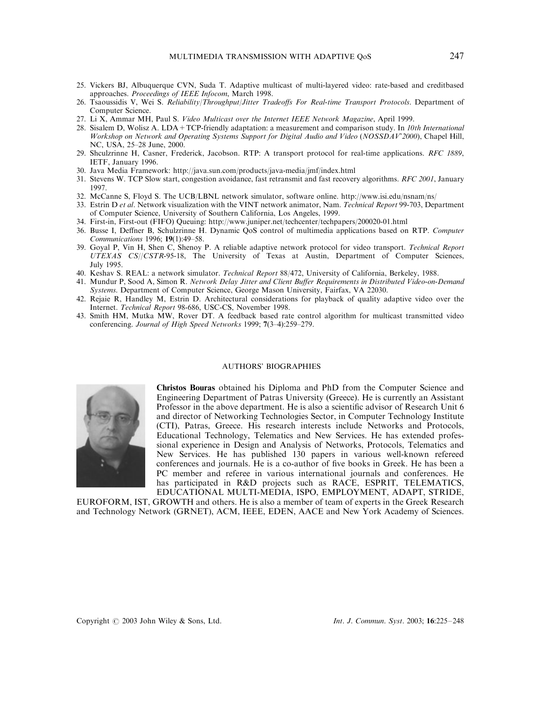- 25. Vickers BJ, Albuquerque CVN, Suda T. Adaptive multicast of multi-layered video: rate-based and creditbased approaches. Proceedings of IEEE Infocom, March 1998.
- 26. Tsaoussidis V, Wei S. Reliability/Throughput/Jitter Tradeoffs For Real-time Transport Protocols. Department of Computer Science.
- 27. Li X, Ammar MH, Paul S. Video Multicast over the Internet IEEE Network Magazine, April 1999.
- 28. Sisalem D, Wolisz A. LDA+TCP-friendly adaptation: a measurement and comparison study. In 10th International Workshop on Network and Operating Systems Support for Digital Audio and Video (NOSSDAV'2000), Chapel Hill, NC, USA, 25–28 June, 2000.
- 29. Shculzrinne H, Casner, Frederick, Jacobson. RTP: A transport protocol for real-time applications. RFC 1889, IETF, January 1996.
- 30. Java Media Framework: http://java.sun.com/products/java-media/jmf/index.html
- 31. Stevens W. TCP Slow start, congestion avoidance, fast retransmit and fast recovery algorithms. RFC 2001, January 1997.
- 32. McCanne S, Floyd S. The UCB/LBNL network simulator, software online. http://www.isi.edu/nsnam/ns/
- 33. Estrin D et al. Network visualization with the VINT network animator, Nam. Technical Report 99-703, Department of Computer Science, University of Southern California, Los Angeles, 1999.
- 34. First-in, First-out (FIFO) Queuing: http://www.juniper.net/techcenter/techpapers/200020-01.html
- 36. Busse I, Deffner B, Schulzrinne H. Dynamic QoS control of multimedia applications based on RTP. Computer Communications 1996; 19(1):49–58.
- 39. Goyal P, Vin H, Shen C, Shenoy P. A reliable adaptive network protocol for video transport. Technical Report UTEXAS CS//CSTR-95-18, The University of Texas at Austin, Department of Computer Sciences, July 1995.
- 40. Keshav S. REAL: a network simulator. Technical Report 88/472, University of California, Berkeley, 1988.
- 41. Mundur P, Sood A, Simon R. Network Delay Jitter and Client Buffer Requirements in Distributed Video-on-Demand Systems. Department of Computer Science, George Mason University, Fairfax, VA 22030.
- 42. Rejaie R, Handley M, Estrin D. Architectural considerations for playback of quality adaptive video over the Internet. Technical Report 98-686, USC-CS, November 1998.
- 43. Smith HM, Mutka MW, Rover DT. A feedback based rate control algorithm for multicast transmitted video conferencing. Journal of High Speed Networks 1999; 7(3–4):259–279.

#### AUTHORS' BIOGRAPHIES



Christos Bouras obtained his Diploma and PhD from the Computer Science and Engineering Department of Patras University (Greece). He is currently an Assistant Professor in the above department. He is also a scientific advisor of Research Unit 6 and director of Networking Technologies Sector, in Computer Technology Institute (CTI), Patras, Greece. His research interests include Networks and Protocols, Educational Technology, Telematics and New Services. He has extended professional experience in Design and Analysis of Networks, Protocols, Telematics and New Services. He has published 130 papers in various well-known refereed conferences and journals. He is a co-author of five books in Greek. He has been a PC member and referee in various international journals and conferences. He has participated in R&D projects such as RACE, ESPRIT, TELEMATICS, EDUCATIONAL MULTI-MEDIA, ISPO, EMPLOYMENT, ADAPT, STRIDE,

EUROFORM, IST, GROWTH and others. He is also a member of team of experts in the Greek Research and Technology Network (GRNET), ACM, IEEE, EDEN, AACE and New York Academy of Sciences.